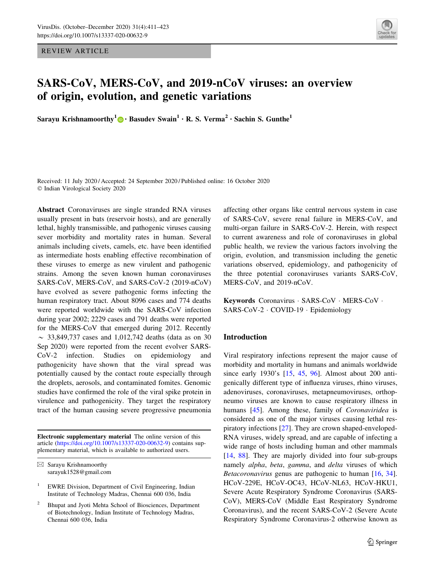REVIEW ARTICLE



# SARS-CoV, MERS-CoV, and 2019-nCoV viruses: an overview of origin, evolution, and genetic variations

Sarayu Krishnamoorthy<sup>1</sup> • Basudev Swain<sup>1</sup> • R. S. Verma<sup>2</sup> • Sachin S. Gunthe<sup>1</sup>

Received: 11 July 2020 / Accepted: 24 September 2020 / Published online: 16 October 2020  $©$  Indian Virological Society 2020

Abstract Coronaviruses are single stranded RNA viruses usually present in bats (reservoir hosts), and are generally lethal, highly transmissible, and pathogenic viruses causing sever morbidity and mortality rates in human. Several animals including civets, camels, etc. have been identified as intermediate hosts enabling effective recombination of these viruses to emerge as new virulent and pathogenic strains. Among the seven known human coronaviruses SARS-CoV, MERS-CoV, and SARS-CoV-2 (2019-nCoV) have evolved as severe pathogenic forms infecting the human respiratory tract. About 8096 cases and 774 deaths were reported worldwide with the SARS-CoV infection during year 2002; 2229 cases and 791 deaths were reported for the MERS-CoV that emerged during 2012. Recently  $\sim$  33,849,737 cases and 1,012,742 deaths (data as on 30 Sep 2020) were reported from the recent evolver SARS-CoV-2 infection. Studies on epidemiology and pathogenicity have shown that the viral spread was potentially caused by the contact route especially through the droplets, aerosols, and contaminated fomites. Genomic studies have confirmed the role of the viral spike protein in virulence and pathogenicity. They target the respiratory tract of the human causing severe progressive pneumonia

Electronic supplementary material The online version of this article [\(https://doi.org/10.1007/s13337-020-00632-9](https://doi.org/10.1007/s13337-020-00632-9)) contains supplementary material, which is available to authorized users.

affecting other organs like central nervous system in case of SARS-CoV, severe renal failure in MERS-CoV, and multi-organ failure in SARS-CoV-2. Herein, with respect to current awareness and role of coronaviruses in global public health, we review the various factors involving the origin, evolution, and transmission including the genetic variations observed, epidemiology, and pathogenicity of the three potential coronaviruses variants SARS-CoV, MERS-CoV, and 2019-nCoV.

Keywords Coronavirus - SARS-CoV - MERS-CoV - SARS-CoV-2 - COVID-19 - Epidemiology

#### Introduction

Viral respiratory infections represent the major cause of morbidity and mortality in humans and animals worldwide since early 1930's [[15,](#page-9-0) [45,](#page-10-0) [96](#page-12-0)]. Almost about 200 antigenically different type of influenza viruses, rhino viruses, adenoviruses, coronaviruses, metapneumoviruses, orthopneumo viruses are known to cause respiratory illness in humans [[45\]](#page-10-0). Among these, family of *Coronaviridea* is considered as one of the major viruses causing lethal respiratory infections [\[27](#page-10-0)]. They are crown shaped-enveloped-RNA viruses, widely spread, and are capable of infecting a wide range of hosts including human and other mammals [\[14](#page-9-0), [88](#page-12-0)]. They are majorly divided into four sub-groups namely alpha, beta, gamma, and delta viruses of which Betacoronavirus genus are pathogenic to human [\[16](#page-9-0), [34](#page-10-0)]. HCoV-229E, HCoV-OC43, HCoV-NL63, HCoV-HKU1, Severe Acute Respiratory Syndrome Coronavirus (SARS-CoV), MERS-CoV (Middle East Respiratory Syndrome Coronavirus), and the recent SARS-CoV-2 (Severe Acute Respiratory Syndrome Coronavirus-2 otherwise known as

 $\boxtimes$  Sarayu Krishnamoorthy sarayuk1528@gmail.com

<sup>1</sup> EWRE Division, Department of Civil Engineering, Indian Institute of Technology Madras, Chennai 600 036, India

<sup>2</sup> Bhupat and Jyoti Mehta School of Biosciences, Department of Biotechnology, Indian Institute of Technology Madras, Chennai 600 036, India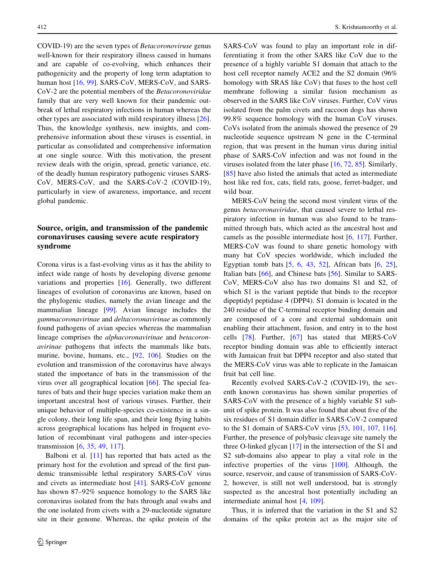COVID-19) are the seven types of Betacoronoviruse genus well-known for their respiratory illness caused in humans and are capable of co-evolving, which enhances their pathogenicity and the property of long term adaptation to human host [[16,](#page-9-0) [99\]](#page-12-0). SARS-CoV, MERS-CoV, and SARS-CoV-2 are the potential members of the Betacoronoviridae family that are very well known for their pandemic outbreak of lethal respiratory infections in human whereas the other types are associated with mild respiratory illness [\[26](#page-10-0)]. Thus, the knowledge synthesis, new insights, and comprehensive information about these viruses is essential, in particular as consolidated and comprehensive information at one single source. With this motivation, the present review deals with the origin, spread, genetic variance, etc. of the deadly human respiratory pathogenic viruses SARS-CoV, MERS-CoV, and the SARS-CoV-2 (COVID-19), particularly in view of awareness, importance, and recent global pandemic.

# Source, origin, and transmission of the pandemic coronaviruses causing severe acute respiratory syndrome

Corona virus is a fast-evolving virus as it has the ability to infect wide range of hosts by developing diverse genome variations and properties [\[16](#page-9-0)]. Generally, two different lineages of evolution of coronavirus are known, based on the phylogenic studies, namely the avian lineage and the mammalian lineage [\[99](#page-12-0)]. Avian lineage includes the gammacoronavirinae and deltacoronavirinae as commonly found pathogens of avian species whereas the mammalian lineage comprises the alphacoronavirinae and betacoronavirinae pathogens that infects the mammals like bats, murine, bovine, humans, etc., [[92,](#page-12-0) [106](#page-12-0)]. Studies on the evolution and transmission of the coronavirus have always stated the importance of bats in the transmission of the virus over all geographical location [[66\]](#page-11-0). The special features of bats and their huge species variation make them an important ancestral host of various viruses. Further, their unique behavior of multiple-species co-existence in a single colony, their long life span, and their long flying habits across geographical locations has helped in frequent evolution of recombinant viral pathogens and inter-species transmission [\[6](#page-9-0), [35,](#page-10-0) [49,](#page-10-0) [117\]](#page-12-0).

Balboni et al. [[11\]](#page-9-0) has reported that bats acted as the primary host for the evolution and spread of the first pandemic transmissible lethal respiratory SARS-CoV virus and civets as intermediate host [[41\]](#page-10-0). SARS-CoV genome has shown 87–92% sequence homology to the SARS like coronavirus isolated from the bats through anal swabs and the one isolated from civets with a 29-nucleotide signature site in their genome. Whereas, the spike protein of the SARS-CoV was found to play an important role in differentiating it from the other SARS like CoV due to the presence of a highly variable S1 domain that attach to the host cell receptor namely ACE2 and the S2 domain (96% homology with SRAS like CoV) that fuses to the host cell membrane following a similar fusion mechanism as observed in the SARS like CoV viruses. Further, CoV virus isolated from the palm civets and raccoon dogs has shown 99.8% sequence homology with the human CoV viruses. CoVs isolated from the animals showed the presence of 29 nucleotide sequence upstream N gene in the C-terminal region, that was present in the human virus during initial phase of SARS-CoV infection and was not found in the viruses isolated from the later phase [\[16](#page-9-0), [72](#page-11-0), [85](#page-11-0)]. Similarly, [\[85](#page-11-0)] have also listed the animals that acted as intermediate host like red fox, cats, field rats, goose, ferret-badger, and wild boar.

MERS-CoV being the second most virulent virus of the genus betacoronaviridae, that caused severe to lethal respiratory infection in human was also found to be transmitted through bats, which acted as the ancestral host and camels as the possible intermediate host [\[6](#page-9-0), [117](#page-12-0)]. Further, MERS-CoV was found to share genetic homology with many bat CoV species worldwide, which included the Egyptian tomb bats  $[5, 6, 43, 52]$  $[5, 6, 43, 52]$  $[5, 6, 43, 52]$  $[5, 6, 43, 52]$  $[5, 6, 43, 52]$  $[5, 6, 43, 52]$  $[5, 6, 43, 52]$  $[5, 6, 43, 52]$  $[5, 6, 43, 52]$ , African bats  $[6, 25]$  $[6, 25]$  $[6, 25]$  $[6, 25]$ , Italian bats [[66\]](#page-11-0), and Chinese bats [\[56](#page-11-0)]. Similar to SARS-CoV, MERS-CoV also has two domains S1 and S2, of which S1 is the variant peptide that binds to the receptor dipeptidyl peptidase 4 (DPP4). S1 domain is located in the 240 residue of the C-terminal receptor binding domain and are composed of a core and external subdomain unit enabling their attachment, fusion, and entry in to the host cells [\[78](#page-11-0)]. Further, [[67\]](#page-11-0) has stated that MERS-CoV receptor binding domain was able to efficiently interact with Jamaican fruit bat DPP4 receptor and also stated that the MERS-CoV virus was able to replicate in the Jamaican fruit bat cell line.

Recently evolved SARS-CoV-2 (COVID-19), the seventh known coronavirus has shown similar properties of SARS-CoV with the presence of a highly variable S1 subunit of spike protein. It was also found that about five of the six residues of S1 domain differ in SARS-CoV-2 compared to the S1 domain of SARS-CoV virus [[53,](#page-11-0) [101](#page-12-0), [107,](#page-12-0) [116](#page-12-0)]. Further, the presence of polybasic cleavage site namely the three O-linked glycan [[17\]](#page-9-0) in the intersection of the S1 and S2 sub-domains also appear to play a vital role in the infective properties of the virus [[100\]](#page-12-0). Although, the source, reservoir, and cause of transmission of SARS-CoV-2, however, is still not well understood, bat is strongly suspected as the ancestral host potentially including an intermediate animal host [[4,](#page-9-0) [109](#page-12-0)].

Thus, it is inferred that the variation in the S1 and S2 domains of the spike protein act as the major site of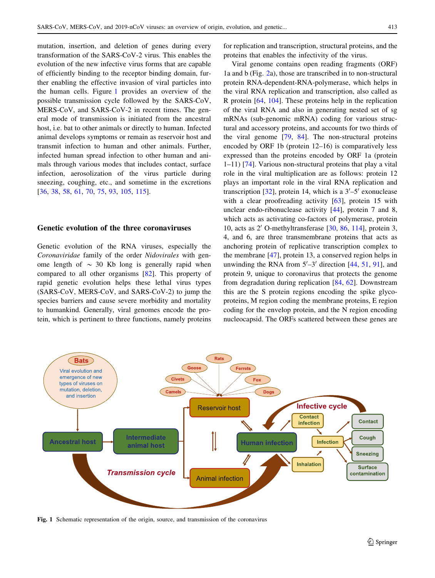mutation, insertion, and deletion of genes during every transformation of the SARS-CoV-2 virus. This enables the evolution of the new infective virus forms that are capable of efficiently binding to the receptor binding domain, further enabling the effective invasion of viral particles into the human cells. Figure 1 provides an overview of the possible transmission cycle followed by the SARS-CoV, MERS-CoV, and SARS-CoV-2 in recent times. The general mode of transmission is initiated from the ancestral host, i.e. bat to other animals or directly to human. Infected animal develops symptoms or remain as reservoir host and transmit infection to human and other animals. Further, infected human spread infection to other human and animals through various modes that includes contact, surface infection, aerosolization of the virus particle during sneezing, coughing, etc., and sometime in the excretions [\[36](#page-10-0), [38](#page-10-0), [58,](#page-11-0) [61,](#page-11-0) [70,](#page-11-0) [75](#page-11-0), [93](#page-12-0), [105,](#page-12-0) [115\]](#page-12-0).

## Genetic evolution of the three coronaviruses

Genetic evolution of the RNA viruses, especially the Coronaviridae family of the order Nidovirales with genome length of  $\sim$  30 Kb long is generally rapid when compared to all other organisms [\[82](#page-11-0)]. This property of rapid genetic evolution helps these lethal virus types (SARS-CoV, MERS-CoV, and SARS-CoV-2) to jump the species barriers and cause severe morbidity and mortality to humankind. Generally, viral genomes encode the protein, which is pertinent to three functions, namely proteins for replication and transcription, structural proteins, and the proteins that enables the infectivity of the virus.

Viral genome contains open reading fragments (ORF) 1a and b (Fig. [2a](#page-3-0)), those are transcribed in to non-structural protein RNA-dependent-RNA-polymerase, which helps in the viral RNA replication and transcription, also called as R protein [\[64](#page-11-0), [104\]](#page-12-0). These proteins help in the replication of the viral RNA and also in generating nested set of sg mRNAs (sub-genomic mRNA) coding for various structural and accessory proteins, and accounts for two thirds of the viral genome [\[79](#page-11-0), [84](#page-11-0)]. The non-structural proteins encoded by ORF 1b (protein 12–16) is comparatively less expressed than the proteins encoded by ORF 1a (protein 1–11) [\[74](#page-11-0)]. Various non-structural proteins that play a vital role in the viral multiplication are as follows: protein 12 plays an important role in the viral RNA replication and transcription [[32\]](#page-10-0), protein 14, which is a  $3'-5'$  exonuclease with a clear proofreading activity  $[63]$  $[63]$ , protein 15 with unclear endo-ribonuclease activity [[44\]](#page-10-0), protein 7 and 8, which acts as activating co-factors of polymerase, protein 10, acts as  $2'$  O-methyltransferase  $[30, 86, 114]$  $[30, 86, 114]$  $[30, 86, 114]$  $[30, 86, 114]$  $[30, 86, 114]$  $[30, 86, 114]$ , protein 3, 4, and 6, are three transmembrane proteins that acts as anchoring protein of replicative transcription complex to the membrane [\[47](#page-10-0)], protein 13, a conserved region helps in unwinding the RNA from  $5'-3'$  direction [\[44](#page-10-0), [51](#page-10-0), [91\]](#page-12-0), and protein 9, unique to coronavirus that protects the genome from degradation during replication [\[84](#page-11-0), [62](#page-11-0)]. Downstream this are the S protein regions encoding the spike glycoproteins, M region coding the membrane proteins, E region coding for the envelop protein, and the N region encoding nucleocapsid. The ORFs scattered between these genes are



Fig. 1 Schematic representation of the origin, source, and transmission of the coronavirus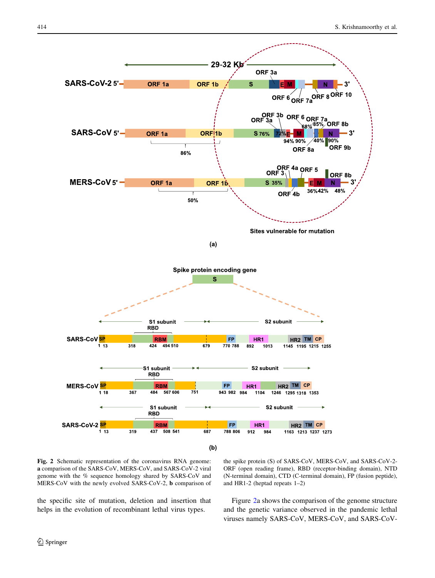<span id="page-3-0"></span>

Fig. 2 Schematic representation of the coronavirus RNA genome: a comparison of the SARS-CoV, MERS-CoV, and SARS-CoV-2 viral genome with the % sequence homology shared by SARS-CoV and MERS-CoV with the newly evolved SARS-CoV-2, b comparison of

the spike protein (S) of SARS-CoV, MERS-CoV, and SARS-CoV-2- ORF (open reading frame), RBD (receptor-binding domain), NTD (N-terminal domain), CTD (C-terminal domain), FP (fusion peptide), and HR1-2 (heptad repeats 1–2)

the specific site of mutation, deletion and insertion that helps in the evolution of recombinant lethal virus types.

Figure 2a shows the comparison of the genome structure and the genetic variance observed in the pandemic lethal viruses namely SARS-CoV, MERS-CoV, and SARS-CoV-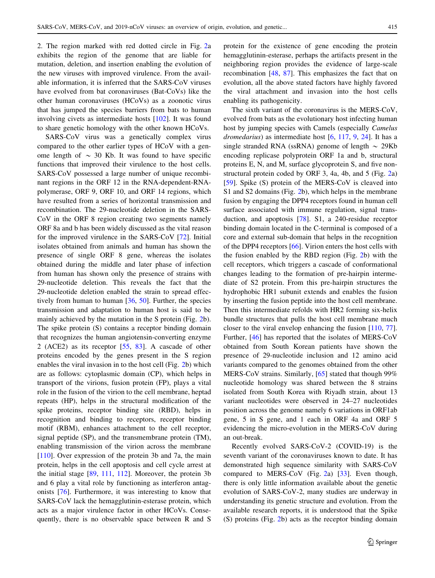2. The region marked with red dotted circle in Fig. [2a](#page-3-0) exhibits the region of the genome that are liable for mutation, deletion, and insertion enabling the evolution of the new viruses with improved virulence. From the available information, it is inferred that the SARS-CoV viruses have evolved from bat coronaviruses (Bat-CoVs) like the other human coronaviruses (HCoVs) as a zoonotic virus that has jumped the species barriers from bats to human involving civets as intermediate hosts [[102\]](#page-12-0). It was found to share genetic homology with the other known HCoVs.

SARS-CoV virus was a genetically complex virus compared to the other earlier types of HCoV with a genome length of  $\sim$  30 Kb. It was found to have specific functions that improved their virulence to the host cells. SARS-CoV possessed a large number of unique recombinant regions in the ORF 12 in the RNA-dependent-RNApolymerase, ORF 9, ORF 10, and ORF 14 regions, which have resulted from a series of horizontal transmission and recombination. The 29-nucleotide deletion in the SARS-CoV in the ORF 8 region creating two segments namely ORF 8a and b has been widely discussed as the vital reason for the improved virulence in the SARS-CoV [[72\]](#page-11-0). Initial isolates obtained from animals and human has shown the presence of single ORF 8 gene, whereas the isolates obtained during the middle and later phase of infection from human has shown only the presence of strains with 29-nucleotide deletion. This reveals the fact that the 29-nucleotide deletion enabled the strain to spread effectively from human to human [[36,](#page-10-0) [50\]](#page-10-0). Further, the species transmission and adaptation to human host is said to be mainly achieved by the mutation in the S protein (Fig. [2](#page-3-0)b). The spike protein (S) contains a receptor binding domain that recognizes the human angiotensin-converting enzyme 2 (ACE2) as its receptor [[55,](#page-11-0) [83](#page-11-0)]. A cascade of other proteins encoded by the genes present in the S region enables the viral invasion in to the host cell (Fig. [2b](#page-3-0)) which are as follows: cytoplasmic domain (CP), which helps in transport of the virions, fusion protein (FP), plays a vital role in the fusion of the virion to the cell membrane, heptad repeats (HP), helps in the structural modification of the spike proteins, receptor binding site (RBD), helps in recognition and binding to receptors, receptor binding motif (RBM), enhances attachment to the cell receptor, signal peptide (SP), and the transmembrane protein (TM), enabling transmission of the virion across the membrane [\[110](#page-12-0)]. Over expression of the protein 3b and 7a, the main protein, helps in the cell apoptosis and cell cycle arrest at the initial stage [\[89](#page-12-0), [111,](#page-12-0) [112](#page-12-0)]. Moreover, the protein 3b and 6 play a vital role by functioning as interferon antagonists [[76\]](#page-11-0). Furthermore, it was interesting to know that SARS-CoV lack the hemagglutinin-esterase protein, which acts as a major virulence factor in other HCoVs. Consequently, there is no observable space between R and S protein for the existence of gene encoding the protein hemagglutinin-esterase, perhaps the artifacts present in the neighboring region provides the evidence of large-scale recombination [\[48](#page-10-0), [87\]](#page-12-0). This emphasizes the fact that on evolution, all the above stated factors have highly favored the viral attachment and invasion into the host cells enabling its pathogenicity.

The sixth variant of the coronavirus is the MERS-CoV, evolved from bats as the evolutionary host infecting human host by jumping species with Camels (especially Camelus dromedarius) as intermediate host [\[6](#page-9-0), [117,](#page-12-0) [9,](#page-9-0) [24\]](#page-10-0). It has a single stranded RNA (ssRNA) genome of length  $\sim$  29Kb encoding replicase polyprotein ORF 1a and b, structural proteins E, N, and M, surface glycoprotein S, and five nonstructural protein coded by ORF 3, 4a, 4b, and 5 (Fig. [2](#page-3-0)a) [\[59](#page-11-0)]. Spike (S) protein of the MERS-CoV is cleaved into S1 and S2 domains (Fig. [2b](#page-3-0)), which helps in the membrane fusion by engaging the DPP4 receptors found in human cell surface associated with immune regulation, signal transduction, and apoptosis [[78\]](#page-11-0). S1, a 240-residue receptor binding domain located in the C-terminal is composed of a core and external sub-domain that helps in the recognition of the DPP4 receptors [\[66](#page-11-0)]. Virion enters the host cells with the fusion enabled by the RBD region (Fig. [2b](#page-3-0)) with the cell receptors, which triggers a cascade of conformational changes leading to the formation of pre-hairpin intermediate of S2 protein. From this pre-hairpin structures the hydrophobic HR1 subunit extends and enables the fusion by inserting the fusion peptide into the host cell membrane. Then this intermediate refolds with HR2 forming six-helix bundle structures that pulls the host cell membrane much closer to the viral envelop enhancing the fusion [[110,](#page-12-0) [77](#page-11-0)]. Further, [[46\]](#page-10-0) has reported that the isolates of MERS-CoV obtained from South Korean patients have shown the presence of 29-nucleotide inclusion and 12 amino acid variants compared to the genomes obtained from the other MERS-CoV strains. Similarly, [\[65](#page-11-0)] stated that though 99% nucleotide homology was shared between the 8 strains isolated from South Korea with Riyadh strain, about 13 variant nucleotides were observed in 24–27 nucleotides position across the genome namely 6 variations in ORF1ab gene, 5 in S gene, and 1 each in ORF 4a and ORF 5 evidencing the micro-evolution in the MERS-CoV during an out-break.

Recently evolved SARS-CoV-2 (COVID-19) is the seventh variant of the coronaviruses known to date. It has demonstrated high sequence similarity with SARS-CoV compared to MERS-CoV (Fig. [2](#page-3-0)a) [[33](#page-10-0)]. Even though, there is only little information available about the genetic evolution of SARS-CoV-2, many studies are underway in understanding its genetic structure and evolution. From the available research reports, it is understood that the Spike (S) proteins (Fig. [2](#page-3-0)b) acts as the receptor binding domain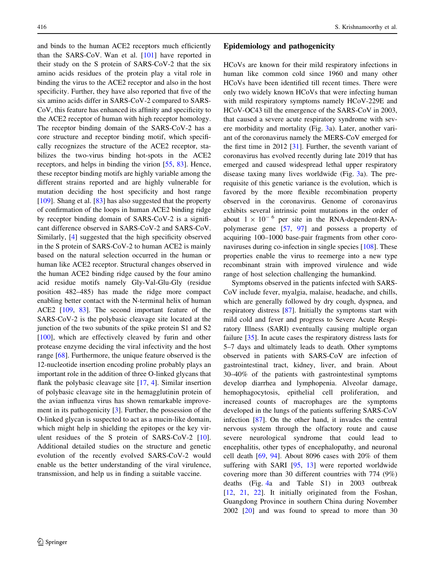and binds to the human ACE2 receptors much efficiently than the SARS-CoV. Wan et al. [\[101](#page-12-0)] have reported in their study on the S protein of SARS-CoV-2 that the six amino acids residues of the protein play a vital role in binding the virus to the ACE2 receptor and also in the host specificity. Further, they have also reported that five of the six amino acids differ in SARS-CoV-2 compared to SARS-CoV, this feature has enhanced its affinity and specificity to the ACE2 receptor of human with high receptor homology. The receptor binding domain of the SARS-CoV-2 has a core structure and receptor binding motif, which specifically recognizes the structure of the ACE2 receptor, stabilizes the two-virus binding hot-spots in the ACE2 receptors, and helps in binding the virion [\[55](#page-11-0), [83\]](#page-11-0). Hence, these receptor binding motifs are highly variable among the different strains reported and are highly vulnerable for mutation deciding the host specificity and host range [\[109](#page-12-0)]. Shang et al. [\[83](#page-11-0)] has also suggested that the property of confirmation of the loops in human ACE2 binding ridge by receptor binding domain of SARS-CoV-2 is a significant difference observed in SARS-CoV-2 and SARS-CoV. Similarly, [[4\]](#page-9-0) suggested that the high specificity observed in the S protein of SARS-CoV-2 to human ACE2 is mainly based on the natural selection occurred in the human or human like ACE2 receptor. Structural changes observed in the human ACE2 binding ridge caused by the four amino acid residue motifs namely Gly-Val-Glu-Gly (residue position 482–485) has made the ridge more compact enabling better contact with the N-terminal helix of human ACE2 [\[109](#page-12-0), [83](#page-11-0)]. The second important feature of the SARS-CoV-2 is the polybasic cleavage site located at the junction of the two subunits of the spike protein S1 and S2 [\[100](#page-12-0)], which are effectively cleaved by furin and other protease enzyme deciding the viral infectivity and the host range [\[68](#page-11-0)]. Furthermore, the unique feature observed is the 12-nucleotide insertion encoding proline probably plays an important role in the addition of three O-linked glycans that flank the polybasic cleavage site [\[17](#page-9-0), [4\]](#page-9-0). Similar insertion of polybasic cleavage site in the hemagglutinin protein of the avian influenza virus has shown remarkable improvement in its pathogenicity [\[3](#page-9-0)]. Further, the possession of the O-linked glycan is suspected to act as a mucin-like domain, which might help in shielding the epitopes or the key virulent residues of the S protein of SARS-CoV-2 [\[10](#page-9-0)]. Additional detailed studies on the structure and genetic evolution of the recently evolved SARS-CoV-2 would enable us the better understanding of the viral virulence, transmission, and help us in finding a suitable vaccine.

#### Epidemiology and pathogenicity

HCoVs are known for their mild respiratory infections in human like common cold since 1960 and many other HCoVs have been identified till recent times. There were only two widely known HCoVs that were infecting human with mild respiratory symptoms namely HCoV-229E and HCoV-OC43 till the emergence of the SARS-CoV in 2003, that caused a severe acute respiratory syndrome with severe morbidity and mortality (Fig. [3a](#page-6-0)). Later, another variant of the coronavirus namely the MERS-CoV emerged for the first time in 2012 [\[31](#page-10-0)]. Further, the seventh variant of coronavirus has evolved recently during late 2019 that has emerged and caused widespread lethal upper respiratory disease taxing many lives worldwide (Fig. [3](#page-6-0)a). The prerequisite of this genetic variance is the evolution, which is favored by the more flexible recombination property observed in the coronavirus. Genome of coronavirus exhibits several intrinsic point mutations in the order of about  $1 \times 10^{-6}$  per site in the RNA-dependent-RNApolymerase gene [[57,](#page-11-0) [97\]](#page-12-0) and possess a property of acquiring 100–1000 base-pair fragments from other coronaviruses during co-infection in single species [\[108](#page-12-0)]. These properties enable the virus to reemerge into a new type recombinant strain with improved virulence and wide range of host selection challenging the humankind.

Symptoms observed in the patients infected with SARS-CoV include fever, myalgia, malaise, headache, and chills, which are generally followed by dry cough, dyspnea, and respiratory distress [\[87](#page-12-0)]. Initially the symptoms start with mild cold and fever and progress to Severe Acute Respiratory Illness (SARI) eventually causing multiple organ failure [[35\]](#page-10-0). In acute cases the respiratory distress lasts for 5–7 days and ultimately leads to death. Other symptoms observed in patients with SARS-CoV are infection of gastrointestinal tract, kidney, liver, and brain. About 30–40% of the patients with gastrointestinal symptoms develop diarrhea and lymphopenia. Alveolar damage, hemophagocytosis, epithelial cell proliferation, and increased counts of macrophages are the symptoms developed in the lungs of the patients suffering SARS-CoV infection [[87\]](#page-12-0). On the other hand, it invades the central nervous system through the olfactory route and cause severe neurological syndrome that could lead to encephalitis, other types of encephalopathy, and neuronal cell death [[69,](#page-11-0) [94](#page-12-0)]. About 8096 cases with 20% of them suffering with SARI [[95,](#page-12-0) [13\]](#page-9-0) were reported worldwide covering more than 30 different countries with 774 (9%) deaths (Fig. [4a](#page-6-0) and Table S1) in 2003 outbreak [\[12](#page-9-0), [21,](#page-10-0) [22\]](#page-10-0). It initially originated from the Foshan, Guangdong Province in southern China during November 2002 [\[20](#page-10-0)] and was found to spread to more than 30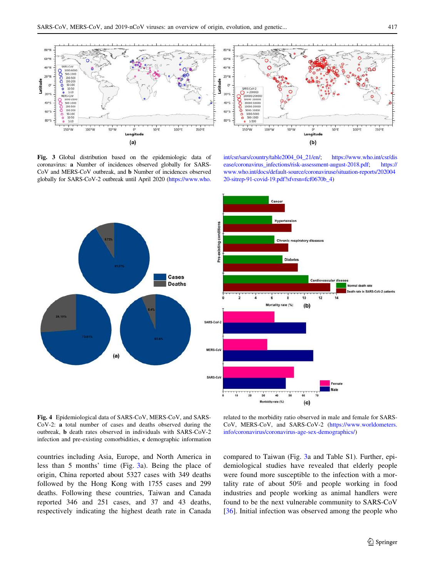<span id="page-6-0"></span>

Fig. 3 Global distribution based on the epidemiologic data of coronavirus: a Number of incidences observed globally for SARS-CoV and MERS-CoV outbreak, and b Number of incidences observed globally for SARS-CoV-2 outbreak until April 2020 [\(https://www.who.](https://www.who.int/csr/sars/country/table2004_04_21/en/)

[int/csr/sars/country/table2004\\_04\\_21/en/;](https://www.who.int/csr/sars/country/table2004_04_21/en/) [https://www.who.int/csr/dis](https://www.who.int/csr/disease/coronavirus_infections/risk-assessment-august-2018.pdf) [ease/coronavirus\\_infections/risk-assessment-august-2018.pdf;](https://www.who.int/csr/disease/coronavirus_infections/risk-assessment-august-2018.pdf) [https://](https://www.who.int/docs/default-source/coronaviruse/situation-reports/20200420-sitrep-91-covid-19.pdf?sfvrsn=fcf0670b_4) [www.who.int/docs/default-source/coronaviruse/situation-reports/202004](https://www.who.int/docs/default-source/coronaviruse/situation-reports/20200420-sitrep-91-covid-19.pdf?sfvrsn=fcf0670b_4) [20-sitrep-91-covid-19.pdf?sfvrsn=fcf0670b\\_4](https://www.who.int/docs/default-source/coronaviruse/situation-reports/20200420-sitrep-91-covid-19.pdf?sfvrsn=fcf0670b_4))





Fig. 4 Epidemiological data of SARS-CoV, MERS-CoV, and SARS-CoV-2: a total number of cases and deaths observed during the outbreak, b death rates observed in individuals with SARS-CoV-2 infection and pre-existing comorbidities, c demographic information

countries including Asia, Europe, and North America in less than 5 months' time (Fig. 3a). Being the place of origin, China reported about 5327 cases with 349 deaths followed by the Hong Kong with 1755 cases and 299 deaths. Following these countries, Taiwan and Canada reported 346 and 251 cases, and 37 and 43 deaths, respectively indicating the highest death rate in Canada

related to the morbidity ratio observed in male and female for SARS-CoV, MERS-CoV, and SARS-CoV-2 [\(https://www.worldometers.](https://www.worldometers.info/coronavirus/coronavirus-age-sex-demographics/) [info/coronavirus/coronavirus-age-sex-demographics/](https://www.worldometers.info/coronavirus/coronavirus-age-sex-demographics/))

compared to Taiwan (Fig. 3a and Table S1). Further, epidemiological studies have revealed that elderly people were found more susceptible to the infection with a mortality rate of about 50% and people working in food industries and people working as animal handlers were found to be the next vulnerable community to SARS-CoV [\[36](#page-10-0)]. Initial infection was observed among the people who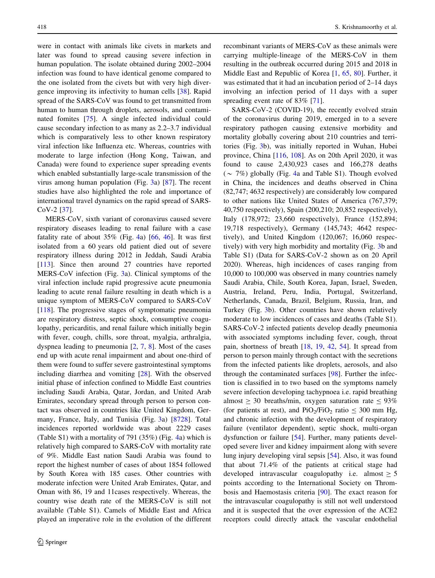were in contact with animals like civets in markets and later was found to spread causing severe infection in human population. The isolate obtained during 2002–2004 infection was found to have identical genome compared to the one isolated from the civets but with very high divergence improving its infectivity to human cells [\[38](#page-10-0)]. Rapid spread of the SARS-CoV was found to get transmitted from human to human through droplets, aerosols, and contaminated fomites [[75\]](#page-11-0). A single infected individual could cause secondary infection to as many as 2.2–3.7 individual which is comparatively less to other known respiratory viral infection like Influenza etc. Whereas, countries with moderate to large infection (Hong Kong, Taiwan, and Canada) were found to experience super spreading events which enabled substantially large-scale transmission of the virus among human population (Fig. [3](#page-6-0)a) [\[87](#page-12-0)]. The recent studies have also highlighted the role and importance of international travel dynamics on the rapid spread of SARS-CoV-2 [[37\]](#page-10-0).

MERS-CoV, sixth variant of coronavirus caused severe respiratory diseases leading to renal failure with a case fatality rate of about  $35\%$  (Fig. [4a](#page-6-0)) [\[66](#page-11-0), [46\]](#page-10-0). It was first isolated from a 60 years old patient died out of severe respiratory illness during 2012 in Jeddah, Saudi Arabia [\[113](#page-12-0)]. Since then around 27 countries have reported MERS-CoV infection (Fig. [3a](#page-6-0)). Clinical symptoms of the viral infection include rapid progressive acute pneumonia leading to acute renal failure resulting in death which is a unique symptom of MERS-CoV compared to SARS-CoV [\[118](#page-12-0)]. The progressive stages of symptomatic pneumonia are respiratory distress, septic shock, consumptive coagulopathy, pericarditis, and renal failure which initially begin with fever, cough, chills, sore throat, myalgia, arthralgia, dyspnea leading to pneumonia  $[2, 7, 8]$  $[2, 7, 8]$  $[2, 7, 8]$  $[2, 7, 8]$  $[2, 7, 8]$  $[2, 7, 8]$  $[2, 7, 8]$ . Most of the cases end up with acute renal impairment and about one-third of them were found to suffer severe gastrointestinal symptoms including diarrhea and vomiting [\[28](#page-10-0)]. With the observed initial phase of infection confined to Middle East countries including Saudi Arabia, Qatar, Jordan, and United Arab Emirates, secondary spread through person to person contact was observed in countries like United Kingdom, Germany, France, Italy, and Tunisia (Fig. [3a](#page-6-0)) [\[8728](#page-9-0)]. Total incidences reported worldwide was about 2229 cases (Table S1) with a mortality of 791 (35%) (Fig. [4](#page-6-0)a) which is relatively high compared to SARS-CoV with mortality rate of 9%. Middle East nation Saudi Arabia was found to report the highest number of cases of about 1854 followed by South Korea with 185 cases. Other countries with moderate infection were United Arab Emirates, Qatar, and Oman with 86, 19 and 11cases respectively. Whereas, the country wise death rate of the MERS-CoV is still not available (Table S1). Camels of Middle East and Africa played an imperative role in the evolution of the different recombinant variants of MERS-CoV as these animals were carrying multiple-lineage of the MERS-CoV in them resulting in the outbreak occurred during 2015 and 2018 in Middle East and Republic of Korea [\[1](#page-9-0), [65,](#page-11-0) [80\]](#page-11-0). Further, it was estimated that it had an incubation period of 2–14 days involving an infection period of 11 days with a super spreading event rate of 83% [\[71](#page-11-0)].

SARS-CoV-2 (COVID-19), the recently evolved strain of the coronavirus during 2019, emerged in to a severe respiratory pathogen causing extensive morbidity and mortality globally covering about 210 countries and territories (Fig. [3b](#page-6-0)), was initially reported in Wuhan, Hubei province, China [\[116](#page-12-0), [108\]](#page-12-0). As on 20th April 2020, it was found to cause 2,430,923 cases and 166,278 deaths ( $\sim$  7%) globally (Fig. [4](#page-6-0)a and Table S1). Though evolved in China, the incidences and deaths observed in China (82,747; 4632 respectively) are considerably low compared to other nations like United States of America (767,379; 40,750 respectively), Spain (200,210; 20,852 respectively), Italy (178,972; 23,660 respectively), France (152,894; 19,718 respectively), Germany (145,743; 4642 respectively), and United Kingdom (120,067; 16,060 respectively) with very high morbidity and mortality (Fig. [3](#page-6-0)b and Table S1) (Data for SARS-CoV-2 shown as on 20 April 2020). Whereas, high incidences of cases ranging from 10,000 to 100,000 was observed in many countries namely Saudi Arabia, Chile, South Korea, Japan, Israel, Sweden, Austria, Ireland, Peru, India, Portugal, Switzerland, Netherlands, Canada, Brazil, Belgium, Russia, Iran, and Turkey (Fig. [3](#page-6-0)b). Other countries have shown relatively moderate to low incidences of cases and deaths (Table S1). SARS-CoV-2 infected patients develop deadly pneumonia with associated symptoms including fever, cough, throat pain, shortness of breath [[18,](#page-9-0) [19,](#page-10-0) [42](#page-10-0), [54\]](#page-11-0). It spread from person to person mainly through contact with the secretions from the infected patients like droplets, aerosols, and also through the contaminated surfaces [\[98](#page-12-0)]. Further the infection is classified in to two based on the symptoms namely severe infection developing tachypnoea i.e. rapid breathing almost  $\geq 30$  breaths/min, oxygen saturation rate  $\leq 93\%$ (for patients at rest), and  $PiO_2/FiO_2$  ratio  $\leq 300$  mm Hg, and chronic infection with the development of respiratory failure (ventilator dependent), septic shock, multi-organ dysfunction or failure [[54\]](#page-11-0). Further, many patients developed severe liver and kidney impairment along with severe lung injury developing viral sepsis [[54\]](#page-11-0). Also, it was found that about 71.4% of the patients at critical stage had developed intravascular coagulopathy i.e. almost  $\geq 5$ points according to the International Society on Thrombosis and Haemostasis criteria [[90\]](#page-12-0). The exact reason for the intravascular coagulopathy is still not well understood and it is suspected that the over expression of the ACE2 receptors could directly attack the vascular endothelial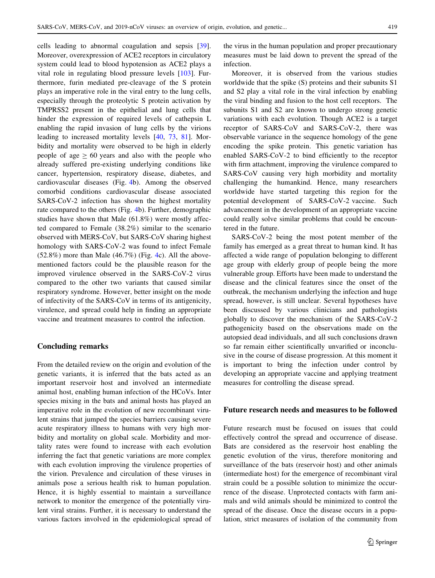cells leading to abnormal coagulation and sepsis [\[39](#page-10-0)]. Moreover, overexpression of ACE2 receptors in circulatory system could lead to blood hypotension as ACE2 plays a vital role in regulating blood pressure levels [[103\]](#page-12-0). Furthermore, furin mediated pre-cleavage of the S protein plays an imperative role in the viral entry to the lung cells, especially through the proteolytic S protein activation by TMPRSS2 present in the epithelial and lung cells that hinder the expression of required levels of cathepsin L enabling the rapid invasion of lung cells by the virions leading to increased mortality levels [[40,](#page-10-0) [73,](#page-11-0) [81](#page-11-0)]. Morbidity and mortality were observed to be high in elderly people of age  $\geq 60$  years and also with the people who already suffered pre-existing underlying conditions like cancer, hypertension, respiratory disease, diabetes, and cardiovascular diseases (Fig. [4b](#page-6-0)). Among the observed comorbid conditions cardiovascular disease associated SARS-CoV-2 infection has shown the highest mortality rate compared to the others (Fig. [4](#page-6-0)b). Further, demographic studies have shown that Male (61.8%) were mostly affected compared to Female (38.2%) similar to the scenario observed with MERS-CoV, but SARS-CoV sharing highest homology with SARS-CoV-2 was found to infect Female  $(52.8\%)$  more than Male  $(46.7\%)$  $(46.7\%)$  $(46.7\%)$  (Fig. 4c). All the abovementioned factors could be the plausible reason for the improved virulence observed in the SARS-CoV-2 virus compared to the other two variants that caused similar respiratory syndrome. However, better insight on the mode of infectivity of the SARS-CoV in terms of its antigenicity, virulence, and spread could help in finding an appropriate vaccine and treatment measures to control the infection.

#### Concluding remarks

From the detailed review on the origin and evolution of the genetic variants, it is inferred that the bats acted as an important reservoir host and involved an intermediate animal host, enabling human infection of the HCoVs. Inter species mixing in the bats and animal hosts has played an imperative role in the evolution of new recombinant virulent strains that jumped the species barriers causing severe acute respiratory illness to humans with very high morbidity and mortality on global scale. Morbidity and mortality rates were found to increase with each evolution inferring the fact that genetic variations are more complex with each evolution improving the virulence properties of the virion. Prevalence and circulation of these viruses in animals pose a serious health risk to human population. Hence, it is highly essential to maintain a surveillance network to monitor the emergence of the potentially virulent viral strains. Further, it is necessary to understand the various factors involved in the epidemiological spread of

the virus in the human population and proper precautionary measures must be laid down to prevent the spread of the infection.

Moreover, it is observed from the various studies worldwide that the spike (S) proteins and their subunits S1 and S2 play a vital role in the viral infection by enabling the viral binding and fusion to the host cell receptors. The subunits S1 and S2 are known to undergo strong genetic variations with each evolution. Though ACE2 is a target receptor of SARS-CoV and SARS-CoV-2, there was observable variance in the sequence homology of the gene encoding the spike protein. This genetic variation has enabled SARS-CoV-2 to bind efficiently to the receptor with firm attachment, improving the virulence compared to SARS-CoV causing very high morbidity and mortality challenging the humankind. Hence, many researchers worldwide have started targeting this region for the potential development of SARS-CoV-2 vaccine. Such advancement in the development of an appropriate vaccine could really solve similar problems that could be encountered in the future.

SARS-CoV-2 being the most potent member of the family has emerged as a great threat to human kind. It has affected a wide range of population belonging to different age group with elderly group of people being the more vulnerable group. Efforts have been made to understand the disease and the clinical features since the onset of the outbreak, the mechanism underlying the infection and huge spread, however, is still unclear. Several hypotheses have been discussed by various clinicians and pathologists globally to discover the mechanism of the SARS-CoV-2 pathogenicity based on the observations made on the autopsied dead individuals, and all such conclusions drawn so far remain either scientifically unvarified or inconclusive in the course of disease progression. At this moment it is important to bring the infection under control by developing an appropriate vaccine and applying treatment measures for controlling the disease spread.

## Future research needs and measures to be followed

Future research must be focused on issues that could effectively control the spread and occurrence of disease. Bats are considered as the reservoir host enabling the genetic evolution of the virus, therefore monitoring and surveillance of the bats (reservoir host) and other animals (intermediate host) for the emergence of recombinant viral strain could be a possible solution to minimize the occurrence of the disease. Unprotected contacts with farm animals and wild animals should be minimized to control the spread of the disease. Once the disease occurs in a population, strict measures of isolation of the community from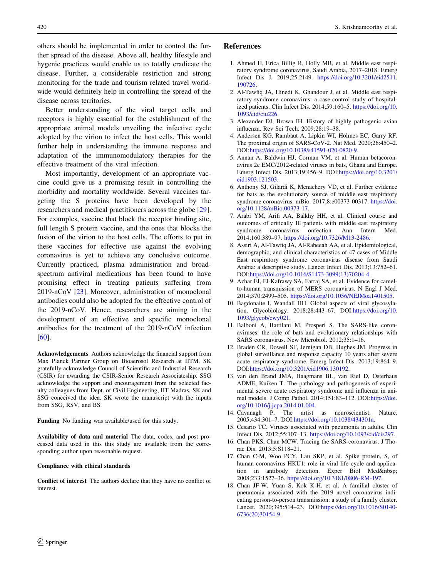<span id="page-9-0"></span>others should be implemented in order to control the further spread of the disease. Above all, healthy lifestyle and hygenic practices would enable us to totally eradicate the disease. Further, a considerable restriction and strong monitoring for the trade and tourism related travel worldwide would definitely help in controlling the spread of the disease across territories.

Better understanding of the viral target cells and receptors is highly essential for the establishment of the appropriate animal models unveiling the infective cycle adopted by the virion to infect the host cells. This would further help in understanding the immune response and adaptation of the immunomodulatory therapies for the effective treatment of the viral infection.

Most importantly, development of an appropriate vaccine could give us a promising result in controlling the morbidity and mortality worldwide. Several vaccines targeting the S proteins have been developed by the researchers and medical practitioners across the globe [\[29](#page-10-0)]. For examples, vaccine that block the receptor binding site, full length S protein vaccine, and the ones that blocks the fusion of the virion to the host cells. The efforts to put in these vaccines for effective use against the evolving coronavirus is yet to achieve any conclusive outcome. Currently practiced, plasma administration and broadspectrum antiviral medications has been found to have promising effect in treating patients suffering from 2019-nCoV [[23\]](#page-10-0). Moreover, administration of monoclonal antibodies could also be adopted for the effective control of the 2019-nCoV. Hence, researchers are aiming in the development of an effective and specific monoclonal antibodies for the treatment of the 2019-nCoV infection [\[60](#page-11-0)].

Acknowledgements Authors acknowledge the financial support from Max Planck Partner Group on Bioaerosol Research at IITM. SK gratefully acknowledge Council of Scientific and Industrial Research (CSIR) for awarding the CSIR-Senior Research Associateship. SSG acknowledge the support and encouragement from the selected faculty colleagues from Dept. of Civil Engineering, IIT Madras. SK and SSG conceived the idea. SK wrote the manuscript with the inputs from SSG, RSV, and BS.

Funding No funding was available/used for this study.

Availability of data and material The data, codes, and post processed data used in this this study are available from the corresponding author upon reasonable request.

#### Compliance with ethical standards

Conflict of interest The authors declare that they have no conflict of interest.

#### References

- 1. Ahmed H, Erica Billig R, Holly MB, et al. Middle east respiratory syndrome coronavirus, Saudi Arabia, 2017–2018. Emerg Infect Dis J. 2019;25:2149. [https://doi.org/10.3201/eid2511.](https://doi.org/10.3201/eid2511.190726) [190726.](https://doi.org/10.3201/eid2511.190726)
- 2. Al-Tawfiq JA, Hinedi K, Ghandour J, et al. Middle east respiratory syndrome coronavirus: a case-control study of hospitalized patients. Clin Infect Dis. 2014;59:160–5. [https://doi.org/10.](https://doi.org/10.1093/cid/ciu226) [1093/cid/ciu226.](https://doi.org/10.1093/cid/ciu226)
- 3. Alexander DJ, Brown IH. History of highly pathogenic avian influenza. Rev Sci Tech. 2009;28:19–38.
- 4. Andersen KG, Rambaut A, Lipkin WI, Holmes EC, Garry RF. The proximal origin of SARS-CoV-2. Nat Med. 2020;26:450–2. DOI:[https://doi.org/10.1038/s41591-020-0820-9.](https://doi.org/10.1038/s41591-020-0820-9)
- 5. Annan A, Baldwin HJ, Corman VM, et al. Human betacoronavirus 2c EMC/2012-related viruses in bats, Ghana and Europe. Emerg Infect Dis. 2013;19:456–9. DOI[:https://doi.org/10.3201/](https://doi.org/10.3201/eid1903.121503) [eid1903.121503](https://doi.org/10.3201/eid1903.121503).
- 6. Anthony SJ, Gilardi K, Menachery VD, et al. Further evidence for bats as the evolutionary source of middle east respiratory syndrome coronavirus. mBio. 2017;8:e00373-00317. [https://doi.](https://doi.org/10.1128/mBio.00373-17) [org/10.1128/mBio.00373-17.](https://doi.org/10.1128/mBio.00373-17)
- 7. Arabi YM, Arifi AA, Balkhy HH, et al. Clinical course and outcomes of critically Ill patients with middle east respiratory syndrome coronavirus onfection. Ann Intern Med. 2014;160:389–97. <https://doi.org/10.7326/M13-2486>.
- 8. Assiri A, Al-Tawfiq JA, Al-Rabeeah AA, et al. Epidemiological, demographic, and clinical characteristics of 47 cases of Middle East respiratory syndrome coronavirus disease from Saudi Arabia: a descriptive study. Lancet Infect Dis. 2013;13:752–61. DOI:[https://doi.org/10.1016/S1473-3099\(13\)70204-4.](https://doi.org/10.1016/S1473-3099(13)70204-4)
- 9. Azhar EI, El-Kafrawy SA, Farraj SA, et al. Evidence for camelto-human transmission of MERS coronavirus. N Engl J Med. 2014;370:2499–505. [https://doi.org/10.1056/NEJMoa1401505.](https://doi.org/10.1056/NEJMoa1401505)
- 10. Bagdonaite I, Wandall HH. Global aspects of viral glycosylation. Glycobiology. 2018;28:443–67. DOI[:https://doi.org/10.](https://doi.org/10.1093/glycob/cwy021) [1093/glycob/cwy021](https://doi.org/10.1093/glycob/cwy021).
- 11. Balboni A, Battilani M, Prosperi S. The SARS-like coronaviruses: the role of bats and evolutionary relationships with SARS coronavirus. New Microbiol. 2012;35:1–16.
- 12. Braden CR, Dowell SF, Jernigan DB, Hughes JM. Progress in global surveillance and response capacity 10 years after severe acute respiratory syndrome. Emerg Infect Dis. 2013;19:864–9. DOI:<https://doi.org/10.3201/eid1906.130192>.
- 13. van den Brand JMA, Haagmans BL, van Riel D, Osterhaus ADME, Kuiken T. The pathology and pathogenesis of experimental severe acute respiratory syndrome and influenza in animal models. J Comp Pathol. 2014;151:83–112. DOI:[https://doi.](https://doi.org/10.1016/j.jcpa.2014.01.004) [org/10.1016/j.jcpa.2014.01.004](https://doi.org/10.1016/j.jcpa.2014.01.004).
- 14. Cavanagh P. The artist as neuroscientist. Nature. 2005;434:301–7. DOI[:https://doi.org/10.1038/434301a.](https://doi.org/10.1038/434301a)
- 15. Cesario TC. Viruses associated with pneumonia in adults. Clin Infect Dis. 2012;55:107–13. [https://doi.org/10.1093/cid/cis297.](https://doi.org/10.1093/cid/cis297)
- 16. Chan PKS, Chan MCW. Tracing the SARS-coronavirus. J Thorac Dis. 2013;5:S118–21.
- 17. Chan C-M, Woo PCY, Lau SKP, et al. Spike protein, S, of human coronavirus HKU1: role in viral life cycle and application in antibody detection. Exper Biol Med 2008;233:1527–36. <https://doi.org/10.3181/0806-RM-197>.
- 18. Chan JF-W, Yuan S, Kok K-H, et al. A familial cluster of pneumonia associated with the 2019 novel coronavirus indicating person-to-person transmission: a study of a family cluster. Lancet. 2020;395:514–23. DOI:[https://doi.org/10.1016/S0140-](https://doi.org/10.1016/S0140-6736(20)30154-9) [6736\(20\)30154-9.](https://doi.org/10.1016/S0140-6736(20)30154-9)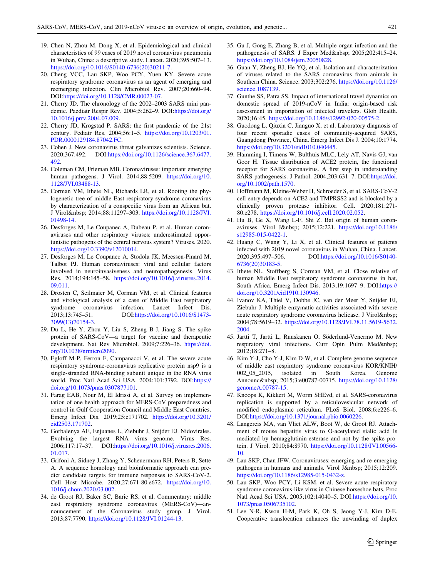- <span id="page-10-0"></span>19. Chen N, Zhou M, Dong X, et al. Epidemiological and clinical characteristics of 99 cases of 2019 novel coronavirus pneumonia in Wuhan, China: a descriptive study. Lancet. 2020;395:507–13. [https://doi.org/10.1016/S0140-6736\(20\)30211-7](https://doi.org/10.1016/S0140-6736(20)30211-7).
- 20. Cheng VCC, Lau SKP, Woo PCY, Yuen KY. Severe acute respiratory syndrome coronavirus as an agent of emerging and reemerging infection. Clin Microbiol Rev. 2007;20:660–94. DOI:<https://doi.org/10.1128/CMR.00023-07>.
- 21. Cherry JD. The chronology of the 2002–2003 SARS mini pandemic. Paediatr Respir Rev. 2004;5:262–9. DOI:[https://doi.org/](https://doi.org/10.1016/j.prrv.2004.07.009) [10.1016/j.prrv.2004.07.009](https://doi.org/10.1016/j.prrv.2004.07.009).
- 22. Cherry JD, Krogstad P. SARS: the first pandemic of the 21st century. Pediatr Res. 2004;56:1–5. [https://doi.org/10.1203/01.](https://doi.org/10.1203/01.PDR.0000129184.87042.FC) [PDR.0000129184.87042.FC](https://doi.org/10.1203/01.PDR.0000129184.87042.FC).
- 23. Cohen J. New coronavirus threat galvanizes scientists. Science. 2020;367:492. DOI:[https://doi.org/10.1126/science.367.6477.](https://doi.org/10.1126/science.367.6477.492) [492](https://doi.org/10.1126/science.367.6477.492).
- 24. Coleman CM, Frieman MB. Coronaviruses: important emerging human pathogens. J Virol. 2014;88:5209. [https://doi.org/10.](https://doi.org/10.1128/JVI.03488-13) [1128/JVI.03488-13.](https://doi.org/10.1128/JVI.03488-13)
- 25. Corman VM, Ithete NL, Richards LR, et al. Rooting the phylogenetic tree of middle East respiratory syndrome coronavirus by characterization of a conspecific virus from an African bat. J Virol 2014;88:11297–303. [https://doi.org/10.1128/JVI.](https://doi.org/10.1128/JVI.01498-14) [01498-14.](https://doi.org/10.1128/JVI.01498-14)
- 26. Desforges M, Le Coupanec A, Dubeau P, et al. Human coronaviruses and other respiratory viruses: underestimated opportunistic pathogens of the central nervous system? Viruses. 2020. [https://doi.org/10.3390/v12010014.](https://doi.org/10.3390/v12010014)
- 27. Desforges M, Le Coupanec A, Stodola JK, Meessen-Pinard M, Talbot PJ. Human coronaviruses: viral and cellular factors involved in neuroinvasiveness and neuropathogenesis. Virus Res. 2014;194:145–58. [https://doi.org/10.1016/j.virusres.2014.](https://doi.org/10.1016/j.virusres.2014.09.011) [09.011.](https://doi.org/10.1016/j.virusres.2014.09.011)
- 28. Drosten C, Seilmaier M, Corman VM, et al. Clinical features and virological analysis of a case of Middle East respiratory syndrome coronavirus infection. Lancet Infect Dis. 2013;13:745–51. DOI[:https://doi.org/10.1016/S1473-](https://doi.org/10.1016/S1473-3099(13)70154-3) [3099\(13\)70154-3.](https://doi.org/10.1016/S1473-3099(13)70154-3)
- 29. Du L, He Y, Zhou Y, Liu S, Zheng B-J, Jiang S. The spike protein of SARS-CoV—a target for vaccine and therapeutic development. Nat Rev Microbiol. 2009;7:226–36. [https://doi.](https://doi.org/10.1038/nrmicro2090) [org/10.1038/nrmicro2090.](https://doi.org/10.1038/nrmicro2090)
- 30. Egloff M-P, Ferron F, Campanacci V, et al. The severe acute respiratory syndrome-coronavirus replicative protein nsp9 is a single-stranded RNA-binding subunit unique in the RNA virus world. Proc Natl Acad Sci USA. 2004;101:3792. DOI[:https://](https://doi.org/10.1073/pnas.0307877101) [doi.org/10.1073/pnas.0307877101](https://doi.org/10.1073/pnas.0307877101).
- 31. Farag EAB, Nour M, El Idrissi A, et al. Survey on implementation of one health approach for MERS-CoV preparedness and control in Gulf Cooperation Council and Middle East Countries. Emerg Infect Dis. 2019;25:e171702. [https://doi.org/10.3201/](https://doi.org/10.3201/eid2503.171702) [eid2503.171702](https://doi.org/10.3201/eid2503.171702).
- 32. Gorbalenya AE, Enjuanes L, Ziebuhr J, Snijder EJ. Nidovirales. Evolving the largest RNA virus genome. Virus Res. 2006;117:17–37. DOI[:https://doi.org/10.1016/j.virusres.2006.](https://doi.org/10.1016/j.virusres.2006.01.017) [01.017.](https://doi.org/10.1016/j.virusres.2006.01.017)
- 33. Grifoni A, Sidney J, Zhang Y, Scheuermann RH, Peters B, Sette A. A sequence homology and bioinformatic approach can predict candidate targets for immune responses to SARS-CoV-2. Cell Host Microbe. 2020;27:671-80.e672. [https://doi.org/10.](https://doi.org/10.1016/j.chom.2020.03.002) [1016/j.chom.2020.03.002.](https://doi.org/10.1016/j.chom.2020.03.002)
- 34. de Groot RJ, Baker SC, Baric RS, et al. Commentary: middle east respiratory syndrome coronavirus (MERS-CoV)—announcement of the Coronavirus study group. J Virol. 2013;87:7790. <https://doi.org/10.1128/JVI.01244-13>.
- 35. Gu J, Gong E, Zhang B, et al. Multiple organ infection and the pathogenesis of SARS. J Exper Med 2005;202:415-24. [https://doi.org/10.1084/jem.20050828.](https://doi.org/10.1084/jem.20050828)
- 36. Guan Y, Zheng BJ, He YQ, et al. Isolation and characterization of viruses related to the SARS coronavirus from animals in Southern China. Science. 2003;302:276. [https://doi.org/10.1126/](https://doi.org/10.1126/science.1087139) [science.1087139](https://doi.org/10.1126/science.1087139).
- 37. Gunthe SS, Patra SS. Impact of international travel dynamics on domestic spread of 2019-nCoV in India: origin-based risk assessment in importation of infected travelers. Glob Health. 2020;16:45. <https://doi.org/10.1186/s12992-020-00575-2>.
- 38. Guodong L, Qiuxia C, Jianguo X, et al. Laboratory diagnosis of four recent sporadic cases of community-acquired SARS, Guangdong Province, China. Emerg Infect Dis J. 2004;10:1774. [https://doi.org/10.3201/eid1010.040445.](https://doi.org/10.3201/eid1010.040445)
- 39. Hamming I, Timens W, Bulthuis MLC, Lely AT, Navis GJ, van Goor H. Tissue distribution of ACE2 protein, the functional receptor for SARS coronavirus. A first step in understanding SARS pathogenesis. J Pathol. 2004;203:631–7. DOI:[https://doi.](https://doi.org/10.1002/path.1570) [org/10.1002/path.1570.](https://doi.org/10.1002/path.1570)
- 40. Hoffmann M, Kleine-Weber H, Schroeder S, et al. SARS-CoV-2 cell entry depends on ACE2 and TMPRSS2 and is blocked by a clinically proven protease inhibitor. Cell. 2020;181:271- 80.e278. <https://doi.org/10.1016/j.cell.2020.02.052>.
- 41. Hu B, Ge X, Wang L-F, Shi Z. Bat origin of human coronaviruses. Virol J 2015;12:221. [https://doi.org/10.1186/](https://doi.org/10.1186/s12985-015-0422-1) [s12985-015-0422-1](https://doi.org/10.1186/s12985-015-0422-1).
- 42. Huang C, Wang Y, Li X, et al. Clinical features of patients infected with 2019 novel coronavirus in Wuhan, China. Lancet. 2020;395:497–506. DOI:[https://doi.org/10.1016/S0140-](https://doi.org/10.1016/S0140-6736(20)30183-5) [6736\(20\)30183-5.](https://doi.org/10.1016/S0140-6736(20)30183-5)
- 43. Ithete NL, Stoffberg S, Corman VM, et al. Close relative of human Middle East respiratory syndrome coronavirus in bat, South Africa. Emerg Infect Dis. 2013;19:1697–9. DOI:[https://](https://doi.org/10.3201/eid1910.130946) [doi.org/10.3201/eid1910.130946](https://doi.org/10.3201/eid1910.130946).
- 44. Ivanov KA, Thiel V, Dobbe JC, van der Meer Y, Snijder EJ, Ziebuhr J. Multiple enzymatic activities associated with severe acute respiratory syndrome coronavirus helicase. J Virol 2004;78:5619–32. [https://doi.org/10.1128/JVI.78.11.5619-5632.](https://doi.org/10.1128/JVI.78.11.5619-5632.2004) [2004.](https://doi.org/10.1128/JVI.78.11.5619-5632.2004)
- 45. Jartti T, Jartti L, Ruuskanen O, Söderlund-Venermo M. New respiratory viral infections. Curr Opin Pulm Med 2012;18:271–8.
- 46. Kim Y-J, Cho Y-J, Kim D-W, et al. Complete genome sequence of middle east respiratory syndrome coronavirus KOR/KNIH/ 002\_05\_2015, isolated in South Korea. Genome Announc & nbsp; 2015;3:e00787-00715. [https://doi.org/10.1128/](https://doi.org/10.1128/genomeA.00787-15) [genomeA.00787-15](https://doi.org/10.1128/genomeA.00787-15).
- 47. Knoops K, Kikkert M, Worm SHEvd, et al. SARS-coronavirus replication is supported by a reticulovesicular network of modified endoplasmic reticulum. PLoS Biol. 2008;6:e226–6. DOI:<https://doi.org/10.1371/journal.pbio.0060226>.
- 48. Langereis MA, van Vliet ALW, Boot W, de Groot RJ. Attachment of mouse hepatitis virus to O-acetylated sialic acid Is mediated by hemagglutinin-esterase and not by the spike protein. J Virol. 2010;84:8970. [https://doi.org/10.1128/JVI.00566-](https://doi.org/10.1128/JVI.00566-10) [10](https://doi.org/10.1128/JVI.00566-10).
- 49. Lau SKP, Chan JFW. Coronaviruses: emerging and re-emerging pathogens in humans and animals. Virol J  $2015;12:209$ . <https://doi.org/10.1186/s12985-015-0432-z>.
- 50. Lau SKP, Woo PCY, Li KSM, et al. Severe acute respiratory syndrome coronavirus-like virus in Chinese horseshoe bats. Proc Natl Acad Sci USA. 2005;102:14040–5. DOI[:https://doi.org/10.](https://doi.org/10.1073/pnas.0506735102) [1073/pnas.0506735102.](https://doi.org/10.1073/pnas.0506735102)
- 51. Lee N-R, Kwon H-M, Park K, Oh S, Jeong Y-J, Kim D-E. Cooperative translocation enhances the unwinding of duplex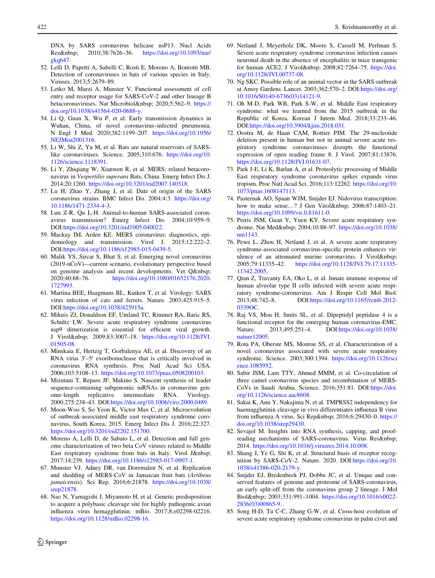<span id="page-11-0"></span>DNA by SARS coronavirus helicase nsP13. Nucl Acids Res 2010;38:7626-36. [https://doi.org/10.1093/nar/](https://doi.org/10.1093/nar/gkq647) [gkq647.](https://doi.org/10.1093/nar/gkq647)

- 52. Lelli D, Papetti A, Sabelli C, Rosti E, Moreno A, Boniotti MB. Detection of coronaviruses in bats of various species in Italy. Viruses. 2013;5:2679–89.
- 53. Letko M, Marzi A, Munster V. Functional assessment of cell entry and receptor usage for SARS-CoV-2 and other lineage B betacoronaviruses. Nat Microbiol 2020;5:562-9. [https://](https://doi.org/10.1038/s41564-020-0688-y) [doi.org/10.1038/s41564-020-0688-y.](https://doi.org/10.1038/s41564-020-0688-y)
- 54. Li Q, Guan X, Wu P, et al. Early transmission dynamics in Wuhan, China, of novel coronavirus–infected pneumonia. N Engl J Med. 2020;382:1199–207. [https://doi.org/10.1056/](https://doi.org/10.1056/NEJMoa2001316) [NEJMoa2001316](https://doi.org/10.1056/NEJMoa2001316).
- 55. Li W, Shi Z, Yu M, et al. Bats are natural reservoirs of SARSlike coronaviruses. Science. 2005;310:676. [https://doi.org/10.](https://doi.org/10.1126/science.1118391) [1126/science.1118391.](https://doi.org/10.1126/science.1118391)
- 56. Li Y, Zhiqiang W, Xianwen R, et al. MERS: related betacoronavirus in Vespertilio superans Bats, China. Emerg Infect Dis J. 2014;20:1260. [https://doi.org/10.3201/eid2007.140318.](https://doi.org/10.3201/eid2007.140318)
- 57. Lu H, Zhao Y, Zhang J, et al. Date of origin of the SARS coronavirus strains. BMC Infect Dis. 2004;4:3. [https://doi.org/](https://doi.org/10.1186/1471-2334-4-3) [10.1186/1471-2334-4-3](https://doi.org/10.1186/1471-2334-4-3).
- 58. Lun Z-R, Qu L-H. Animal-to-human SARS-associated coronavirus transmission? Emerg Infect Dis. 2004;10:959–9. DOI:[https://doi.org/10.3201/eid1005.040022.](https://doi.org/10.3201/eid1005.040022)
- 59. Mackay IM, Arden KE. MERS coronavirus: diagnostics, epidemiology and transmission. Virol J. 2015;12:222–2. DOI:[https://doi.org/10.1186/s12985-015-0439-5.](https://doi.org/10.1186/s12985-015-0439-5)
- 60. Malik YS, Sircar S, Bhat S, et al. Emerging novel coronavirus (2019-nCoV)—current scenario, evolutionary perspective based on genome analysis and recent developments. Vet Q 2020;40:68–76. [https://doi.org/10.1080/01652176.2020.](https://doi.org/10.1080/01652176.2020.1727993) [1727993](https://doi.org/10.1080/01652176.2020.1727993).
- 61. Martina BEE, Haagmans BL, Kuiken T, et al. Virology: SARS virus infection of cats and ferrets. Nature. 2003;425:915–5. DOI:<https://doi.org/10.1038/425915a>.
- 62. Miknis ZJ, Donaldson EF, Umland TC, Rimmer RA, Baric RS, Schultz LW. Severe acute respiratory syndrome coronavirus nsp9 dimerization is essential for efficient viral growth. J Virol 2009;83:3007-18. [https://doi.org/10.1128/JVI.](https://doi.org/10.1128/JVI.01505-08) [01505-08.](https://doi.org/10.1128/JVI.01505-08)
- 63. Minskaia E, Hertzig T, Gorbalenya AE, et al. Discovery of an RNA virus  $3'-5'$  exoribonuclease that is critically involved in coronavirus RNA synthesis. Proc Natl Acad Sci USA. 2006;103:5108–13. [https://doi.org/10.1073/pnas.0508200103.](https://doi.org/10.1073/pnas.0508200103)
- 64. Mizutani T, Repass JF, Makino S. Nascent synthesis of leader sequence-containing subgenomic mRNAs in coronavirus genome-length replicative intermediate RNA. Virology. 2000;275:238–43. DOI:[https://doi.org/10.1006/viro.2000.0489.](https://doi.org/10.1006/viro.2000.0489)
- 65. Moon-Woo S, So Yeon K, Victor Max C, et al. Microevolution of outbreak-associated middle east respiratory syndrome coronavirus, South Korea, 2015. Emerg Infect Dis J. 2016;22:327. [https://doi.org/10.3201/eid2202.151700.](https://doi.org/10.3201/eid2202.151700)
- 66. Moreno A, Lelli D, de Sabato L, et al. Detection and full genome characterization of two beta CoV viruses related to Middle East respiratory syndrome from bats in Italy. Virol J 2017;14:239. <https://doi.org/10.1186/s12985-017-0907-1>.
- 67. Munster VJ, Adney DR, van Doremalen N, et al. Replication and shedding of MERS-CoV in Jamaican fruit bats (Artibeus jamaicensis). Sci Rep. 2016;6:21878. [https://doi.org/10.1038/](https://doi.org/10.1038/srep21878) [srep21878.](https://doi.org/10.1038/srep21878)
- 68. Nao N, Yamagishi J, Miyamoto H, et al. Genetic predisposition to acquire a polybasic cleavage site for highly pathogenic avian influenza virus hemagglutinin. mBio. 2017;8:e02298-02216. <https://doi.org/10.1128/mBio.02298-16>.
- 69. Netland J, Meyerholz DK, Moore S, Cassell M, Perlman S. Severe acute respiratory syndrome coronavirus infection causes neuronal death in the absence of encephalitis in mice transgenic for human ACE2. J Virol 2008;82:7264-75. [https://doi.](https://doi.org/10.1128/JVI.00737-08) [org/10.1128/JVI.00737-08.](https://doi.org/10.1128/JVI.00737-08)
- 70. Ng SKC. Possible role of an animal vector in the SARS outbreak at Amoy Gardens. Lancet. 2003;362:570–2. DOI:[https://doi.org/](https://doi.org/10.1016/S0140-6736(03)14121-9) [10.1016/S0140-6736\(03\)14121-9](https://doi.org/10.1016/S0140-6736(03)14121-9).
- 71. Oh M-D, Park WB, Park S-W, et al. Middle East respiratory syndrome: what we learned from the 2015 outbreak in the Republic of Korea. Korean J Intern Med. 2018;33:233–46. DOI:[https://doi.org/10.3904/kjim.2018.031.](https://doi.org/10.3904/kjim.2018.031)
- 72. Oostra M, de Haan CAM, Rottier PJM. The 29-nucleotide deletion present in human but not in animal severe acute respiratory syndrome coronaviruses disrupts the functional expression of open reading frame 8. J Virol. 2007;81:13876. [https://doi.org/10.1128/JVI.01631-07.](https://doi.org/10.1128/JVI.01631-07)
- 73. Park J-E, Li K, Barlan A, et al. Proteolytic processing of Middle East respiratory syndrome coronavirus spikes expands virus tropism. Proc Natl Acad Sci. 2016;113:12262. [https://doi.org/10.](https://doi.org/10.1073/pnas.1608147113) [1073/pnas.1608147113.](https://doi.org/10.1073/pnas.1608147113)
- 74. Pasternak AO, Spaan WJM, Snijder EJ. Nidovirus transcription: how to make sense...? J Gen Virol 2006;87:1403-21. [https://doi.org/10.1099/vir.0.81611-0.](https://doi.org/10.1099/vir.0.81611-0)
- 75. Peiris JSM, Guan Y, Yuen KY. Severe acute respiratory syndrome. Nat Med 2004;10:88-97. [https://doi.org/10.1038/](https://doi.org/10.1038/nm1143) [nm1143](https://doi.org/10.1038/nm1143).
- 76. Pewe L, Zhou H, Netland J, et al. A severe acute respiratory syndrome-associated coronavirus-specific protein enhances virulence of an attenuated murine coronavirus. J Virol 2005;79:11335–42. [https://doi.org/10.1128/JVI.79.17.11335-](https://doi.org/10.1128/JVI.79.17.11335-11342.2005) [11342.2005.](https://doi.org/10.1128/JVI.79.17.11335-11342.2005)
- 77. Qian Z, Travanty EA, Oko L, et al. Innate immune response of human alveolar type II cells infected with severe acute respiratory syndrome-coronavirus. Am J Respir Cell Mol Biol. 2013;48:742–8. DOI:[https://doi.org/10.1165/rcmb.2012-](https://doi.org/10.1165/rcmb.2012-0339OC) [0339OC](https://doi.org/10.1165/rcmb.2012-0339OC).
- 78. Raj VS, Mou H, Smits SL, et al. Dipeptidyl peptidase 4 is a functional receptor for the emerging human coronavirus-EMC. Nature. 2013;495:251–4. DOI[:https://doi.org/10.1038/](https://doi.org/10.1038/nature12005) [nature12005](https://doi.org/10.1038/nature12005).
- 79. Rota PA, Oberste MS, Monroe SS, et al. Characterization of a novel coronavirus associated with severe acute respiratory syndrome. Science. 2003;300:1394. [https://doi.org/10.1126/sci](https://doi.org/10.1126/science.1085952) [ence.1085952.](https://doi.org/10.1126/science.1085952)
- 80. Sabir JSM, Lam TTY, Ahmed MMM, et al. Co-circulation of three camel coronavirus species and recombination of MERS-CoVs in Saudi Arabia. Science. 2016;351:81. DOI:[https://doi.](https://doi.org/10.1126/science.aac8608) [org/10.1126/science.aac8608.](https://doi.org/10.1126/science.aac8608)
- 81. Sakai K, Ami Y, Nakajima N, et al. TMPRSS2 independency for haemagglutinin cleavage in vivo differentiates influenza B virus from influenza A virus. Sci Rep 2016;6:29430-0. [https://](https://doi.org/10.1038/srep29430) [doi.org/10.1038/srep29430](https://doi.org/10.1038/srep29430).
- 82. Sevajol M. Insights into RNA synthesis, capping, and proofreading mechanisms of SARS-coronavirus. Virus Res 2014. <https://doi.org/10.1016/j.virusres.2014.10.008>.
- 83. Shang J, Ye G, Shi K, et al. Structural basis of receptor recognition by SARS-CoV-2. Nature. 2020. DOI[:https://doi.org/10.](https://doi.org/10.1038/s41586-020-2179-y) [1038/s41586-020-2179-y.](https://doi.org/10.1038/s41586-020-2179-y)
- 84. Snijder EJ, Bredenbeek PJ, Dobbe JC, et al. Unique and conserved features of genome and proteome of SARS-coronavirus, an early split-off from the coronavirus group 2 lineage. J Mol Biol 2003;331:991-1004. [https://doi.org/10.1016/s0022-](https://doi.org/10.1016/s0022-2836(03)00865-9) [2836\(03\)00865-9.](https://doi.org/10.1016/s0022-2836(03)00865-9)
- 85. Song H-D, Tu C-C, Zhang G-W, et al. Cross-host evolution of severe acute respiratory syndrome coronavirus in palm civet and